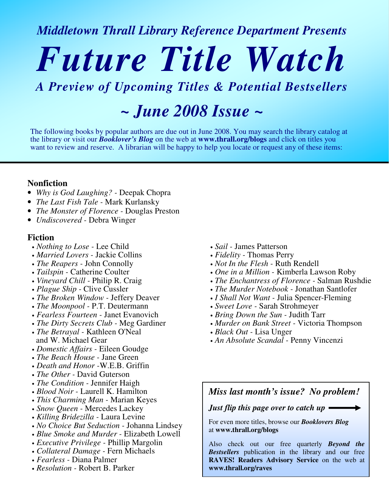*Middletown Thrall Library Reference Department Presents*

## *Future Title Watch*

### *A Preview of Upcoming Titles & Potential Bestsellers*

*~ June 2008 Issue ~*

The following books by popular authors are due out in June 2008. You may search the library catalog at the library or visit our *Booklover's Blog* on the web at **www.thrall.org/blogs** and click on titles you want to review and reserve. A librarian will be happy to help you locate or request any of these items:

#### **Nonfiction**

- *Why is God Laughing? -* Deepak Chopra
- *The Last Fish Tale -* Mark Kurlansky
- *The Monster of Florence -* Douglas Preston
- *Undiscovered -* Debra Winger

#### **Fiction**

- *Nothing to Lose -* Lee Child
- *Married Lovers -* Jackie Collins
- *The Reapers -* John Connolly
- *Tailspin -* Catherine Coulter
- *Vineyard Chill -* Philip R. Craig
- *Plague Ship -* Clive Cussler
- *The Broken Window -* Jeffery Deaver
- *The Moonpool -* P.T. Deutermann
- *Fearless Fourteen -* Janet Evanovich
- *The Dirty Secrets Club -* Meg Gardiner
- *The Betrayal -* Kathleen O'Neal and W. Michael Gear
- *Domestic Affairs -* Eileen Goudge
- *The Beach House -* Jane Green
- *Death and Honor -*W.E.B. Griffin
- *The Other -* David Guterson
- *The Condition -* Jennifer Haigh
- *Blood Noir -* Laurell K. Hamilton
- *This Charming Man -* Marian Keyes
- *Snow Queen -* Mercedes Lackey
- *Killing Bridezilla -* Laura Levine
- *No Choice But Seduction -* Johanna Lindsey
- *Blue Smoke and Murder -* Elizabeth Lowell
- *Executive Privilege -* Phillip Margolin
- *Collateral Damage -* Fern Michaels
- *Fearless -* Diana Palmer
- *Resolution -* Robert B. Parker
- *Sail -* James Patterson
- *Fidelity -* Thomas Perry
- *Not In the Flesh -* Ruth Rendell
- *One in a Million -* Kimberla Lawson Roby
- *The Enchantress of Florence -* Salman Rushdie
- *The Murder Notebook -* Jonathan Santlofer
- *I Shall Not Want -* Julia Spencer-Fleming
- *Sweet Love -* Sarah Strohmeyer
- *Bring Down the Sun -* Judith Tarr
- *Murder on Bank Street -* Victoria Thompson
- *Black Out -* Lisa Unger
- *An Absolute Scandal -* Penny Vincenzi

*Miss last month's issue? No problem!*

*Just flip this page over to catch up*

For even more titles, browse our *Booklovers Blog* at **www.thrall.org/blogs**

Also check out our free quarterly *Beyond the Bestsellers* publication in the library and our free **RAVES! Readers Advisory Service** on the web at **www.thrall.org/raves**